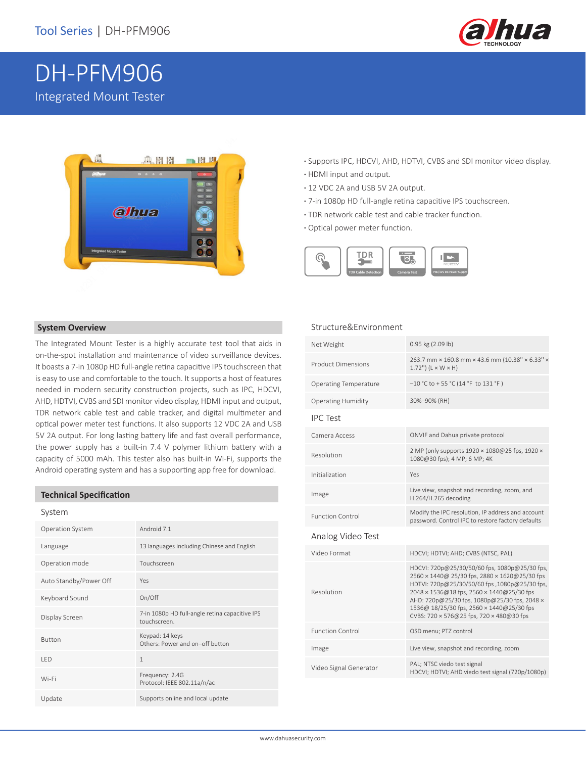

# DH-PFM906 Integrated Mount Tester



- **·** Supports IPC, HDCVI, AHD, HDTVI, CVBS and SDI monitor video display.
- **·** HDMI input and output.
- **·** 12 VDC 2A and USB 5V 2A output.
- **·** 7-in 1080p HD full-angle retina capacitive IPS touchscreen.
- **·** TDR network cable test and cable tracker function.
- **·** Optical power meter function.



#### **System Overview**

The Integrated Mount Tester is a highly accurate test tool that aids in on-the-spot installation and maintenance of video surveillance devices. It boasts a 7-in 1080p HD full-angle retina capacitive IPS touchscreen that is easy to use and comfortable to the touch. It supports a host of features needed in modern security construction projects, such as IPC, HDCVI, AHD, HDTVI, CVBS and SDI monitor video display, HDMI input and output, TDR network cable test and cable tracker, and digital multimeter and optical power meter test functions. It also supports 12 VDC 2A and USB 5V 2A output. For long lasting battery life and fast overall performance, the power supply has a built-in 7.4 V polymer lithium battery with a capacity of 5000 mAh. This tester also has built-in Wi-Fi, supports the Android operating system and has a supporting app free for download.

#### **Technical Specification**

| System                 |                                                                |
|------------------------|----------------------------------------------------------------|
| Operation System       | Android 7.1                                                    |
| Language               | 13 languages including Chinese and English                     |
| Operation mode         | Touchscreen                                                    |
| Auto Standby/Power Off | Yes                                                            |
| Keyboard Sound         | On/Off                                                         |
| Display Screen         | 7-in 1080p HD full-angle retina capacitive IPS<br>touchscreen. |
| <b>Button</b>          | Keypad: 14 keys<br>Others: Power and on-off button             |
| I FD                   | $\mathbf{1}$                                                   |
| Wi-Fi                  | Frequency: 2.4G<br>Protocol: IEEE 802.11a/n/ac                 |
| Update                 | Supports online and local update                               |
|                        |                                                                |

### Structure&Environment

| Net Weight                   | 0.95 kg (2.09 lb)                                                                                                                                                                                                                                                                                                                     |
|------------------------------|---------------------------------------------------------------------------------------------------------------------------------------------------------------------------------------------------------------------------------------------------------------------------------------------------------------------------------------|
| <b>Product Dimensions</b>    | 263.7 mm × 160.8 mm × 43.6 mm (10.38" × 6.33" ×<br>$1.72$ ") ( $L \times W \times H$ )                                                                                                                                                                                                                                                |
| <b>Operating Temperature</b> | $-10$ °C to + 55 °C (14 °F to 131 °F)                                                                                                                                                                                                                                                                                                 |
| <b>Operating Humidity</b>    | 30%-90% (RH)                                                                                                                                                                                                                                                                                                                          |
| <b>IPC Test</b>              |                                                                                                                                                                                                                                                                                                                                       |
| Camera Access                | ONVIF and Dahua private protocol                                                                                                                                                                                                                                                                                                      |
| Resolution                   | 2 MP (only supports 1920 × 1080@25 fps, 1920 ×<br>1080@30 fps); 4 MP; 6 MP; 4K                                                                                                                                                                                                                                                        |
| Initialization               | Yes                                                                                                                                                                                                                                                                                                                                   |
| Image                        | Live view, snapshot and recording, zoom, and<br>H.264/H.265 decoding                                                                                                                                                                                                                                                                  |
| <b>Function Control</b>      | Modify the IPC resolution, IP address and account<br>password. Control IPC to restore factory defaults                                                                                                                                                                                                                                |
| Analog Video Test            |                                                                                                                                                                                                                                                                                                                                       |
| Video Format                 | HDCVI; HDTVI; AHD; CVBS (NTSC, PAL)                                                                                                                                                                                                                                                                                                   |
| Resolution                   | HDCVI: 720p@25/30/50/60 fps, 1080p@25/30 fps,<br>2560 × 1440@ 25/30 fps, 2880 × 1620@25/30 fps<br>HDTVI: 720p@25/30/50/60 fps ,1080p@25/30 fps,<br>2048 × 1536@18 fps, 2560 × 1440@25/30 fps<br>AHD: 720p@25/30 fps, 1080p@25/30 fps, 2048 x<br>1536@ 18/25/30 fps, 2560 × 1440@25/30 fps<br>CVBS: 720 × 576@25 fps, 720 × 480@30 fps |
| <b>Function Control</b>      | OSD menu; PTZ control                                                                                                                                                                                                                                                                                                                 |
| Image                        |                                                                                                                                                                                                                                                                                                                                       |
|                              | Live view, snapshot and recording, zoom                                                                                                                                                                                                                                                                                               |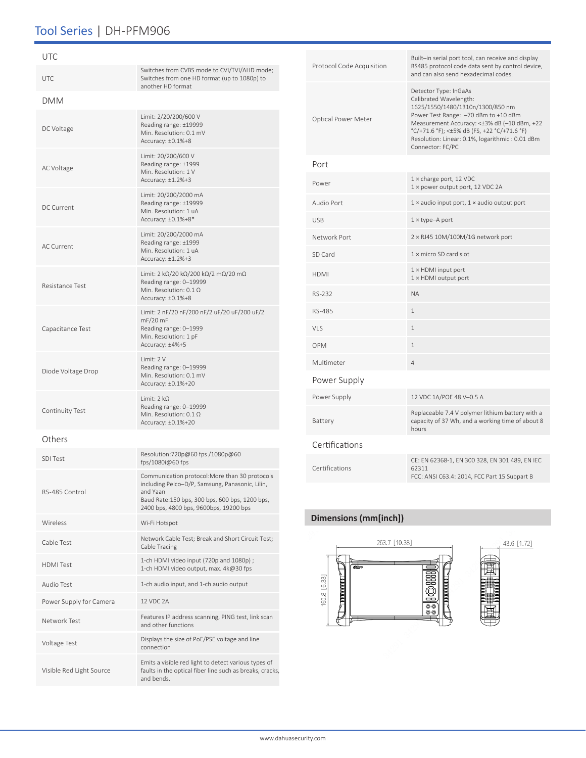## Tool Series | DH-PFM906

| UTC                      |                                                                                                                                                                                                           |
|--------------------------|-----------------------------------------------------------------------------------------------------------------------------------------------------------------------------------------------------------|
| <b>UTC</b>               | Switches from CVBS mode to CVI/TVI/AHD mode;<br>Switches from one HD format (up to 1080p) to<br>another HD format                                                                                         |
| DMM                      |                                                                                                                                                                                                           |
| DC Voltage               | Limit: 2/20/200/600 V<br>Reading range: ±19999<br>Min. Resolution: 0.1 mV<br>Accuracy: ±0.1%+8                                                                                                            |
| AC Voltage               | Limit: 20/200/600 V<br>Reading range: ±1999<br>Min. Resolution: 1 V<br>Accuracy: $\pm 1.2\% + 3$                                                                                                          |
| DC Current               | Limit: 20/200/2000 mA<br>Reading range: ±19999<br>Min. Resolution: 1 uA<br>Accuracy: ±0.1%+8*                                                                                                             |
| <b>AC Current</b>        | Limit: 20/200/2000 mA<br>Reading range: ±1999<br>Min. Resolution: 1 uA<br>Accuracy: ±1.2%+3                                                                                                               |
| <b>Resistance Test</b>   | Limit: 2 k $\Omega/20$ k $\Omega/200$ k $\Omega/2$ m $\Omega/20$ m $\Omega$<br>Reading range: 0-19999<br>Min. Resolution: $0.1 \Omega$<br>Accuracy: ±0.1%+8                                               |
| Capacitance Test         | Limit: 2 nF/20 nF/200 nF/2 uF/20 uF/200 uF/2<br>mF/20 mF<br>Reading range: 0-1999<br>Min. Resolution: 1 pF<br>Accuracy: ±4%+5                                                                             |
| Diode Voltage Drop       | Limit: 2 V<br>Reading range: 0-19999<br>Min. Resolution: 0.1 mV<br>Accuracy: ±0.1%+20                                                                                                                     |
| Continuity Test          | Limit: $2 k\Omega$<br>Reading range: 0-19999<br>Min. Resolution: $0.1 \Omega$<br>Accuracy: ±0.1%+20                                                                                                       |
| Others                   |                                                                                                                                                                                                           |
| <b>SDI Test</b>          | Resolution:720p@60 fps /1080p@60<br>fps/1080i@60 fps                                                                                                                                                      |
| RS-485 Control           | Communication protocol: More than 30 protocols<br>including Pelco-D/P, Samsung, Panasonic, Lilin,<br>and Yaan<br>Baud Rate:150 bps, 300 bps, 600 bps, 1200 bps,<br>2400 bps, 4800 bps, 9600bps, 19200 bps |
| Wireless                 | Wi-Fi Hotspot                                                                                                                                                                                             |
| Cable Test               | Network Cable Test; Break and Short Circuit Test;<br>Cable Tracing                                                                                                                                        |
| <b>HDMI</b> Test         | 1-ch HDMI video input (720p and 1080p);<br>1-ch HDMI video output, max. 4k@30 fps                                                                                                                         |
| Audio Test               | 1-ch audio input, and 1-ch audio output                                                                                                                                                                   |
| Power Supply for Camera  | 12 VDC 2A                                                                                                                                                                                                 |
| Network Test             | Features IP address scanning, PING test, link scan<br>and other functions                                                                                                                                 |
| Voltage Test             | Displays the size of PoE/PSE voltage and line<br>connection                                                                                                                                               |
| Visible Red Light Source | Emits a visible red light to detect various types of<br>faults in the optical fiber line such as breaks, cracks,<br>and bends.                                                                            |

| Protocol Code Acquisition | Built-in serial port tool, can receive and display<br>RS485 protocol code data sent by control device,<br>and can also send hexadecimal codes.                                                                                                                                                   |
|---------------------------|--------------------------------------------------------------------------------------------------------------------------------------------------------------------------------------------------------------------------------------------------------------------------------------------------|
| Optical Power Meter       | Detector Type: InGaAs<br>Calibrated Wavelength:<br>1625/1550/1480/1310n/1300/850 nm<br>Power Test Range: -70 dBm to +10 dBm<br>Measurement Accuracy: <±3% dB (-10 dBm, +22<br>°C/+71.6 °F); <±5% dB (FS, +22 °C/+71.6 °F)<br>Resolution: Linear: 0.1%, logarithmic: 0.01 dBm<br>Connector: FC/PC |
| Port                      |                                                                                                                                                                                                                                                                                                  |
| Power                     | $1 \times$ charge port, 12 VDC<br>1 × power output port, 12 VDC 2A                                                                                                                                                                                                                               |
| Audio Port                | $1 \times$ audio input port, $1 \times$ audio output port                                                                                                                                                                                                                                        |
| <b>USB</b>                | $1 \times$ type-A port                                                                                                                                                                                                                                                                           |
| Network Port              | 2 × RJ45 10M/100M/1G network port                                                                                                                                                                                                                                                                |
| SD Card                   | 1 x micro SD card slot                                                                                                                                                                                                                                                                           |
| <b>HDMI</b>               | $1 \times$ HDMI input port<br>$1 \times$ HDMI output port                                                                                                                                                                                                                                        |
| RS-232                    | <b>NA</b>                                                                                                                                                                                                                                                                                        |
| RS-485                    | $\mathbf{1}$                                                                                                                                                                                                                                                                                     |
| VLS                       | $\mathbf{1}$                                                                                                                                                                                                                                                                                     |
| OPM                       | 1                                                                                                                                                                                                                                                                                                |
| Multimeter                | 4                                                                                                                                                                                                                                                                                                |
| Power Supply              |                                                                                                                                                                                                                                                                                                  |
| Power Supply              | 12 VDC 1A/POE 48 V-0.5 A                                                                                                                                                                                                                                                                         |
| Battery                   | Replaceable 7.4 V polymer lithium battery with a<br>capacity of 37 Wh, and a working time of about 8<br>hours                                                                                                                                                                                    |
| Certifications            |                                                                                                                                                                                                                                                                                                  |
| Certifications            | CE: EN 62368-1, EN 300 328, EN 301 489, EN IEC<br>62311<br>FCC: ANSI C63.4: 2014, FCC Part 15 Subpart B                                                                                                                                                                                          |
|                           |                                                                                                                                                                                                                                                                                                  |

### **Dimensions (mm[inch])**